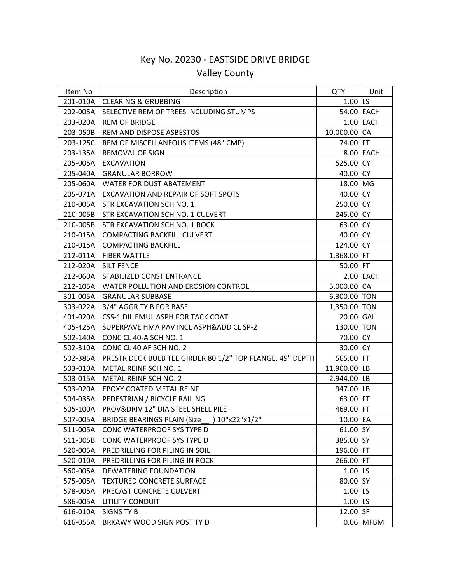## Key No. 20230 - EASTSIDE DRIVE BRIDGE Valley County

| Item No  | Description                                               | QTY            | Unit        |
|----------|-----------------------------------------------------------|----------------|-------------|
| 201-010A | <b>CLEARING &amp; GRUBBING</b>                            | $1.00$ LS      |             |
| 202-005A | SELECTIVE REM OF TREES INCLUDING STUMPS                   | 54.00 EACH     |             |
| 203-020A | <b>REM OF BRIDGE</b>                                      |                | $1.00$ EACH |
| 203-050B | REM AND DISPOSE ASBESTOS                                  | 10,000.00 CA   |             |
| 203-125C | REM OF MISCELLANEOUS ITEMS (48" CMP)                      | 74.00 FT       |             |
| 203-135A | <b>REMOVAL OF SIGN</b>                                    |                | 8.00 EACH   |
| 205-005A | <b>EXCAVATION</b>                                         | 525.00 CY      |             |
| 205-040A | <b>GRANULAR BORROW</b>                                    | $40.00$ CY     |             |
| 205-060A | WATER FOR DUST ABATEMENT                                  | 18.00 MG       |             |
| 205-071A | EXCAVATION AND REPAIR OF SOFT SPOTS                       | 40.00 CY       |             |
| 210-005A | STR EXCAVATION SCH NO. 1                                  | 250.00 CY      |             |
| 210-005B | STR EXCAVATION SCH NO. 1 CULVERT                          | 245.00 CY      |             |
| 210-005B | STR EXCAVATION SCH NO. 1 ROCK                             | 63.00 CY       |             |
| 210-015A | <b>COMPACTING BACKFILL CULVERT</b>                        | $40.00$ CY     |             |
| 210-015A | <b>COMPACTING BACKFILL</b>                                | 124.00 CY      |             |
| 212-011A | <b>FIBER WATTLE</b>                                       | $1,368.00$ FT  |             |
| 212-020A | <b>SILT FENCE</b>                                         | $50.00$ FT     |             |
| 212-060A | STABILIZED CONST ENTRANCE                                 |                | $2.00$ EACH |
| 212-105A | WATER POLLUTION AND EROSION CONTROL                       | 5,000.00 CA    |             |
| 301-005A | <b>GRANULAR SUBBASE</b>                                   | 6,300.00 TON   |             |
| 303-022A | 3/4" AGGR TY B FOR BASE                                   | 1,350.00 TON   |             |
| 401-020A | CSS-1 DIL EMUL ASPH FOR TACK COAT                         | 20.00 GAL      |             |
| 405-425A | SUPERPAVE HMA PAV INCL ASPH&ADD CL SP-2                   | 130.00 TON     |             |
| 502-140A | CONC CL 40-A SCH NO. 1                                    | 70.00 CY       |             |
| 502-310A | CONC CL 40 AF SCH NO. 2                                   | $30.00$ CY     |             |
| 502-385A | PRESTR DECK BULB TEE GIRDER 80 1/2" TOP FLANGE, 49" DEPTH | 565.00 FT      |             |
| 503-010A | METAL REINF SCH NO. 1                                     | 11,900.00   LB |             |
| 503-015A | METAL REINF SCH NO. 2                                     | 2,944.00 LB    |             |
| 503-020A | EPOXY COATED METAL REINF                                  | 947.00 LB      |             |
| 504-035A | PEDESTRIAN / BICYCLE RAILING                              | 63.00 FT       |             |
| 505-100A | PROV&DRIV 12" DIA STEEL SHELL PILE                        | 469.00 FT      |             |
| 507-005A | ) 10"x22"x1/2"<br><b>BRIDGE BEARINGS PLAIN (Size</b>      | $10.00$ EA     |             |
| 511-005A | CONC WATERPROOF SYS TYPE D                                | 61.00 SY       |             |
| 511-005B | CONC WATERPROOF SYS TYPE D                                | 385.00 SY      |             |
| 520-005A | PREDRILLING FOR PILING IN SOIL                            | 196.00 FT      |             |
| 520-010A | PREDRILLING FOR PILING IN ROCK                            | 266.00 FT      |             |
| 560-005A | DEWATERING FOUNDATION                                     | $1.00$ LS      |             |
| 575-005A | <b>TEXTURED CONCRETE SURFACE</b>                          | 80.00 SY       |             |
| 578-005A | PRECAST CONCRETE CULVERT                                  | $1.00$ LS      |             |
| 586-005A | UTILITY CONDUIT                                           | $1.00$ LS      |             |
| 616-010A | SIGNS TY B                                                | $12.00$ SF     |             |
| 616-055A | BRKAWY WOOD SIGN POST TY D                                | 0.06           | <b>MFBM</b> |